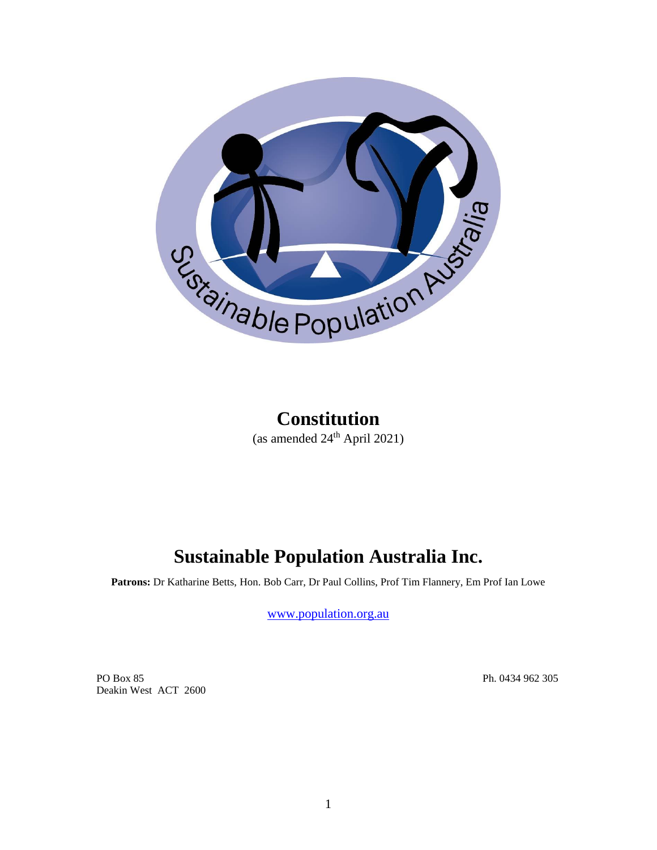

## **Constitution** (as amended  $24<sup>th</sup>$  April 2021)

# **Sustainable Population Australia Inc.**

**Patrons:** Dr Katharine Betts, Hon. Bob Carr, Dr Paul Collins, Prof Tim Flannery, Em Prof Ian Lowe

[www.population.org.au](http://www.population.org.au/)

PO Box 85 Ph. 0434 962 305 Deakin West ACT 2600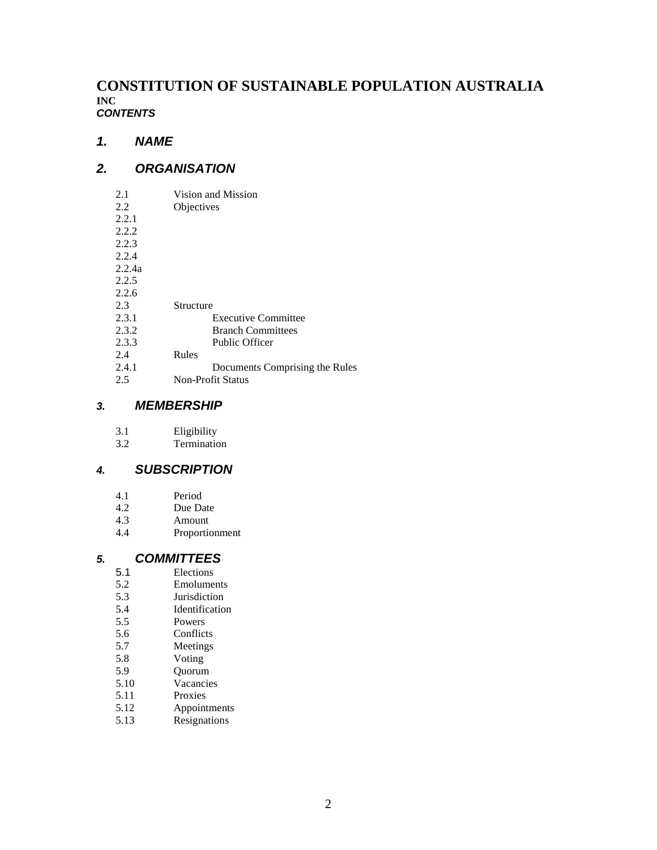## **CONSTITUTION OF SUSTAINABLE POPULATION AUSTRALIA INC** *CONTENTS*

## *1. NAME*

## *2. ORGANISATION*

| 2.1    | Vision and Mission             |
|--------|--------------------------------|
| 2.2    | Objectives                     |
| 2.2.1  |                                |
| 2.2.2  |                                |
| 2.2.3  |                                |
| 2.2.4  |                                |
| 2.2.4a |                                |
| 2.2.5  |                                |
| 2.2.6  |                                |
| 2.3    | Structure                      |
| 2.3.1  | <b>Executive Committee</b>     |
| 2.3.2  | <b>Branch Committees</b>       |
| 2.3.3  | <b>Public Officer</b>          |
| 2.4    | Rules                          |
| 2.4.1  | Documents Comprising the Rules |
| 2.5    | Non-Profit Status              |
|        |                                |

#### *3. MEMBERSHIP*

| 3.1 | Eligibility |
|-----|-------------|
|     |             |

3.2 Termination

## *4. SUBSCRIPTION*

- 4.1 Period
- 4.2 Due Date<br>4.3 Amount
- 4.3 Amount<br>4.4 Proportic
- 4.4 Proportionment

## *5. COMMITTEES*

- 5.1 Elections<br>5.2 Emolumer
- 5.2 Emoluments<br>5.3 Jurisdiction
- **Jurisdiction**
- 5.4 Identification
- 5.5 Powers<br>5.6 Conflict
- **Conflicts**
- 5.7 Meetings
- 5.8 Voting
- 5.9 Quorum
- 5.10 Vacancies<br>5.11 Proxies
- 5.11 Proxies<br>5.12 Appoint
- 5.12 Appointments<br>5.13 Resignations
- **Resignations**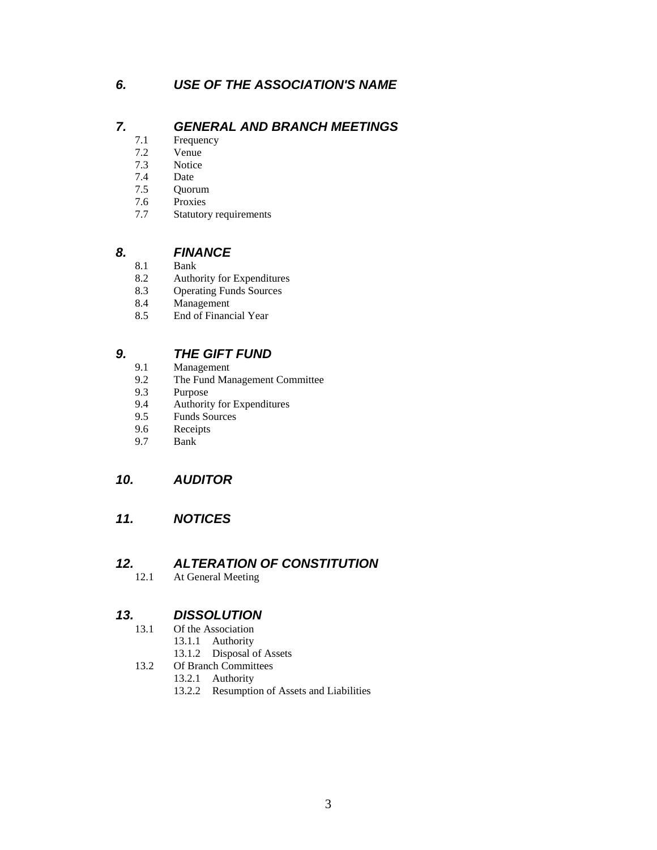## *6. USE OF THE ASSOCIATION'S NAME*

## *7. GENERAL AND BRANCH MEETINGS*

- 7.1 Frequency
- 7.2 Venue
- 7.3 Notice
- 7.4 Date
- 7.5 Quorum
- 7.6 Proxies
- 7.7 Statutory requirements

## **8. FINANCE**<br>8.1 **Bank**

- 
- 8.1 Bank<br>8.2 Autho Authority for Expenditures
- 8.3 Operating Funds Sources
- 8.4 Management
- 8.5 End of Financial Year

## **9. THE GIFT FUND**<br>9.1 Management

- 9.1 Management<br>9.2 The Fund Mar
- The Fund Management Committee
- 9.3 Purpose<br>9.4 Authorit
- Authority for Expenditures
- 9.5 Funds Sources
- 9.6 Receipts
- 9.7 Bank

## *10. AUDITOR*

## *11. NOTICES*

## *12. ALTERATION OF CONSTITUTION*

12.1 At General Meeting

## *13. DISSOLUTION*

- 13.1 Of the Association
	- 13.1.1 Authority
	- 13.1.2 Disposal of Assets
- 13.2 Of Branch Committees
	- 13.2.1 Authority
	- 13.2.2 Resumption of Assets and Liabilities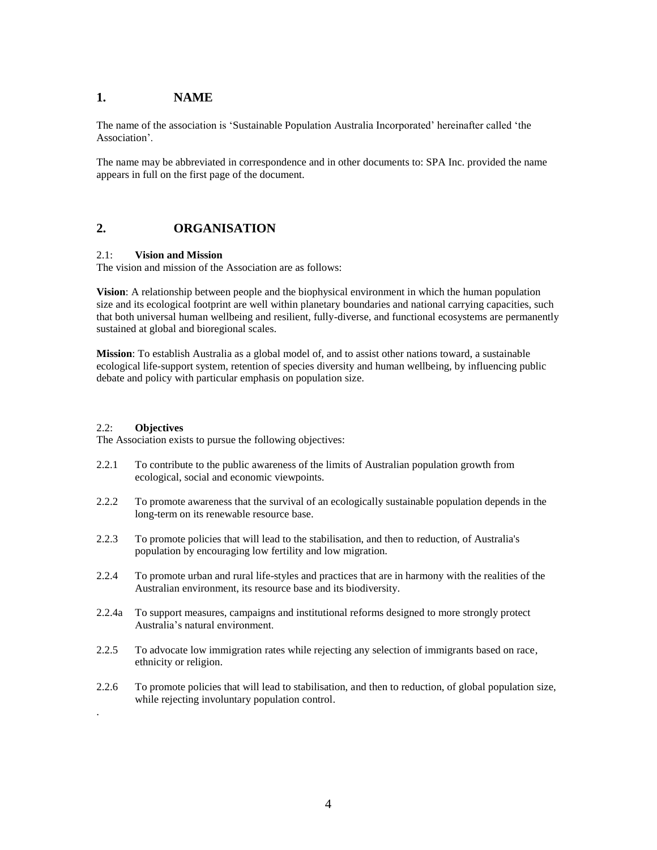#### **1. NAME**

The name of the association is 'Sustainable Population Australia Incorporated' hereinafter called 'the Association'.

The name may be abbreviated in correspondence and in other documents to: SPA Inc. provided the name appears in full on the first page of the document.

#### **2. ORGANISATION**

#### 2.1: **Vision and Mission**

The vision and mission of the Association are as follows:

**Vision**: A relationship between people and the biophysical environment in which the human population size and its ecological footprint are well within planetary boundaries and national carrying capacities, such that both universal human wellbeing and resilient, fully-diverse, and functional ecosystems are permanently sustained at global and bioregional scales.

**Mission**: To establish Australia as a global model of, and to assist other nations toward, a sustainable ecological life-support system, retention of species diversity and human wellbeing, by influencing public debate and policy with particular emphasis on population size.

#### 2.2: **Objectives**

.

The Association exists to pursue the following objectives:

- 2.2.1 To contribute to the public awareness of the limits of Australian population growth from ecological, social and economic viewpoints.
- 2.2.2 To promote awareness that the survival of an ecologically sustainable population depends in the long-term on its renewable resource base.
- 2.2.3 To promote policies that will lead to the stabilisation, and then to reduction, of Australia's population by encouraging low fertility and low migration.
- 2.2.4 To promote urban and rural life-styles and practices that are in harmony with the realities of the Australian environment, its resource base and its biodiversity.
- 2.2.4a To support measures, campaigns and institutional reforms designed to more strongly protect Australia's natural environment.
- 2.2.5 To advocate low immigration rates while rejecting any selection of immigrants based on race, ethnicity or religion.
- 2.2.6 To promote policies that will lead to stabilisation, and then to reduction, of global population size, while rejecting involuntary population control.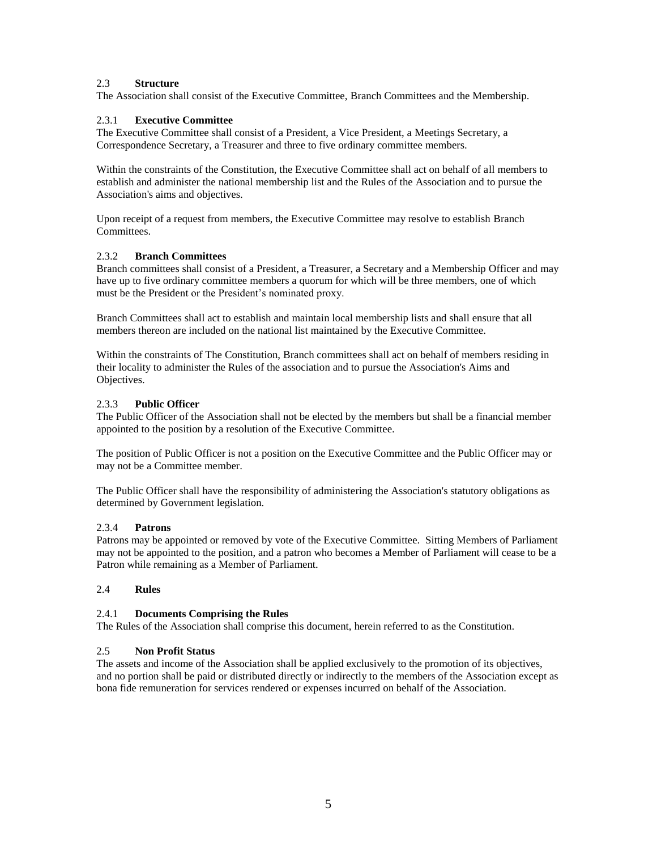#### 2.3 **Structure**

The Association shall consist of the Executive Committee, Branch Committees and the Membership.

#### 2.3.1 **Executive Committee**

The Executive Committee shall consist of a President, a Vice President, a Meetings Secretary, a Correspondence Secretary, a Treasurer and three to five ordinary committee members.

Within the constraints of the Constitution, the Executive Committee shall act on behalf of all members to establish and administer the national membership list and the Rules of the Association and to pursue the Association's aims and objectives.

Upon receipt of a request from members, the Executive Committee may resolve to establish Branch Committees.

#### 2.3.2 **Branch Committees**

Branch committees shall consist of a President, a Treasurer, a Secretary and a Membership Officer and may have up to five ordinary committee members a quorum for which will be three members, one of which must be the President or the President's nominated proxy.

Branch Committees shall act to establish and maintain local membership lists and shall ensure that all members thereon are included on the national list maintained by the Executive Committee.

Within the constraints of The Constitution, Branch committees shall act on behalf of members residing in their locality to administer the Rules of the association and to pursue the Association's Aims and Objectives.

#### 2.3.3 **Public Officer**

The Public Officer of the Association shall not be elected by the members but shall be a financial member appointed to the position by a resolution of the Executive Committee.

The position of Public Officer is not a position on the Executive Committee and the Public Officer may or may not be a Committee member.

The Public Officer shall have the responsibility of administering the Association's statutory obligations as determined by Government legislation.

#### 2.3.4 **Patrons**

Patrons may be appointed or removed by vote of the Executive Committee. Sitting Members of Parliament may not be appointed to the position, and a patron who becomes a Member of Parliament will cease to be a Patron while remaining as a Member of Parliament.

#### 2.4 **Rules**

#### 2.4.1 **Documents Comprising the Rules**

The Rules of the Association shall comprise this document, herein referred to as the Constitution.

#### 2.5 **Non Profit Status**

The assets and income of the Association shall be applied exclusively to the promotion of its objectives, and no portion shall be paid or distributed directly or indirectly to the members of the Association except as bona fide remuneration for services rendered or expenses incurred on behalf of the Association.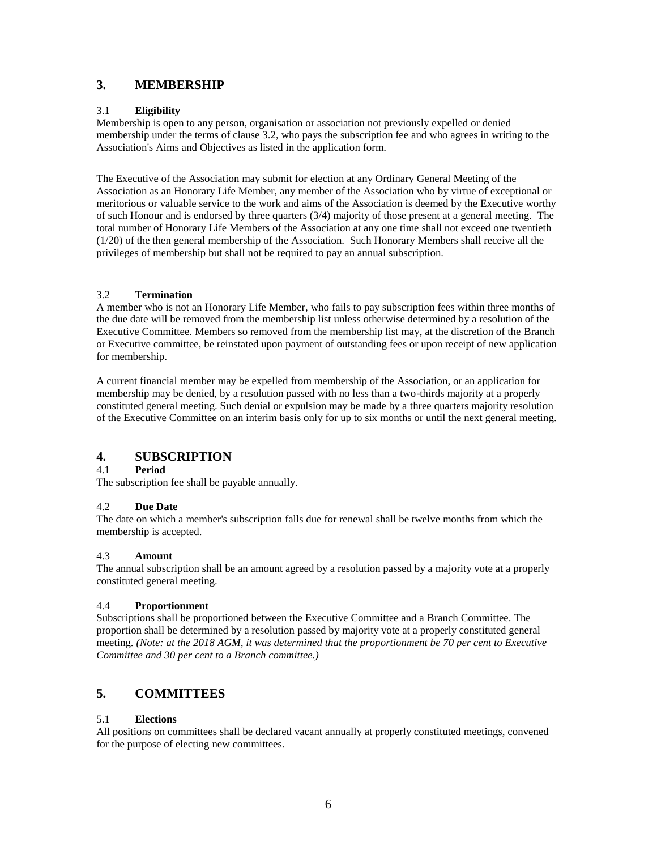#### **3. MEMBERSHIP**

#### 3.1 **Eligibility**

Membership is open to any person, organisation or association not previously expelled or denied membership under the terms of clause 3.2, who pays the subscription fee and who agrees in writing to the Association's Aims and Objectives as listed in the application form.

The Executive of the Association may submit for election at any Ordinary General Meeting of the Association as an Honorary Life Member, any member of the Association who by virtue of exceptional or meritorious or valuable service to the work and aims of the Association is deemed by the Executive worthy of such Honour and is endorsed by three quarters (3/4) majority of those present at a general meeting. The total number of Honorary Life Members of the Association at any one time shall not exceed one twentieth (1/20) of the then general membership of the Association. Such Honorary Members shall receive all the privileges of membership but shall not be required to pay an annual subscription.

#### 3.2 **Termination**

A member who is not an Honorary Life Member, who fails to pay subscription fees within three months of the due date will be removed from the membership list unless otherwise determined by a resolution of the Executive Committee. Members so removed from the membership list may, at the discretion of the Branch or Executive committee, be reinstated upon payment of outstanding fees or upon receipt of new application for membership.

A current financial member may be expelled from membership of the Association, or an application for membership may be denied, by a resolution passed with no less than a two-thirds majority at a properly constituted general meeting. Such denial or expulsion may be made by a three quarters majority resolution of the Executive Committee on an interim basis only for up to six months or until the next general meeting.

## **4. SUBSCRIPTION**

#### 4.1 **Period**

The subscription fee shall be payable annually.

#### 4.2 **Due Date**

The date on which a member's subscription falls due for renewal shall be twelve months from which the membership is accepted.

#### 4.3 **Amount**

The annual subscription shall be an amount agreed by a resolution passed by a majority vote at a properly constituted general meeting.

#### 4.4 **Proportionment**

Subscriptions shall be proportioned between the Executive Committee and a Branch Committee. The proportion shall be determined by a resolution passed by majority vote at a properly constituted general meeting. *(Note: at the 2018 AGM, it was determined that the proportionment be 70 per cent to Executive Committee and 30 per cent to a Branch committee.)*

## **5. COMMITTEES**

#### 5.1 **Elections**

All positions on committees shall be declared vacant annually at properly constituted meetings, convened for the purpose of electing new committees.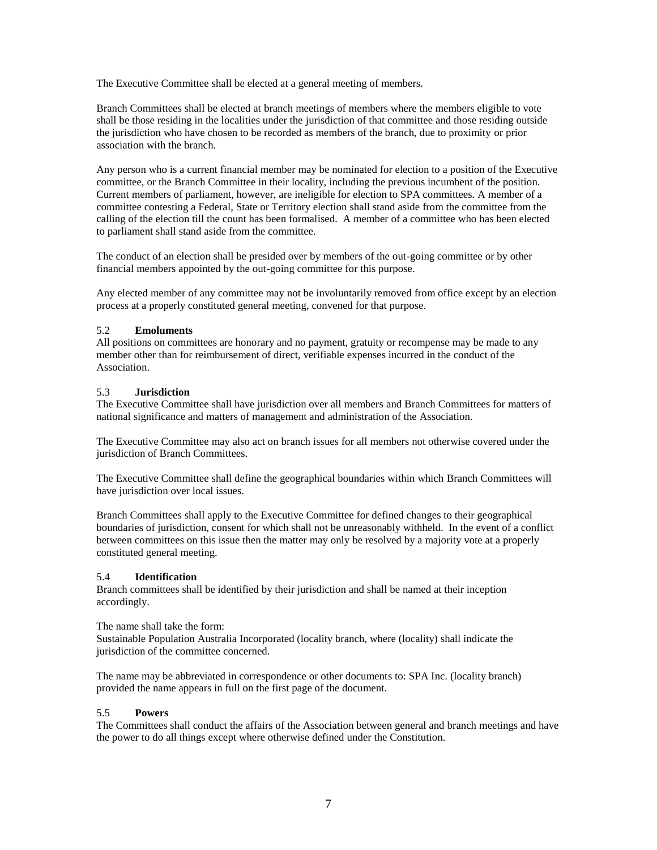The Executive Committee shall be elected at a general meeting of members.

Branch Committees shall be elected at branch meetings of members where the members eligible to vote shall be those residing in the localities under the jurisdiction of that committee and those residing outside the jurisdiction who have chosen to be recorded as members of the branch, due to proximity or prior association with the branch.

Any person who is a current financial member may be nominated for election to a position of the Executive committee, or the Branch Committee in their locality, including the previous incumbent of the position. Current members of parliament, however, are ineligible for election to SPA committees. A member of a committee contesting a Federal, State or Territory election shall stand aside from the committee from the calling of the election till the count has been formalised. A member of a committee who has been elected to parliament shall stand aside from the committee.

The conduct of an election shall be presided over by members of the out-going committee or by other financial members appointed by the out-going committee for this purpose.

Any elected member of any committee may not be involuntarily removed from office except by an election process at a properly constituted general meeting, convened for that purpose.

#### 5.2 **Emoluments**

All positions on committees are honorary and no payment, gratuity or recompense may be made to any member other than for reimbursement of direct, verifiable expenses incurred in the conduct of the Association.

#### 5.3 **Jurisdiction**

The Executive Committee shall have jurisdiction over all members and Branch Committees for matters of national significance and matters of management and administration of the Association.

The Executive Committee may also act on branch issues for all members not otherwise covered under the jurisdiction of Branch Committees.

The Executive Committee shall define the geographical boundaries within which Branch Committees will have jurisdiction over local issues.

Branch Committees shall apply to the Executive Committee for defined changes to their geographical boundaries of jurisdiction, consent for which shall not be unreasonably withheld. In the event of a conflict between committees on this issue then the matter may only be resolved by a majority vote at a properly constituted general meeting.

#### 5.4 **Identification**

Branch committees shall be identified by their jurisdiction and shall be named at their inception accordingly.

The name shall take the form:

Sustainable Population Australia Incorporated (locality branch, where (locality) shall indicate the jurisdiction of the committee concerned.

The name may be abbreviated in correspondence or other documents to: SPA Inc. (locality branch) provided the name appears in full on the first page of the document.

#### 5.5 **Powers**

The Committees shall conduct the affairs of the Association between general and branch meetings and have the power to do all things except where otherwise defined under the Constitution.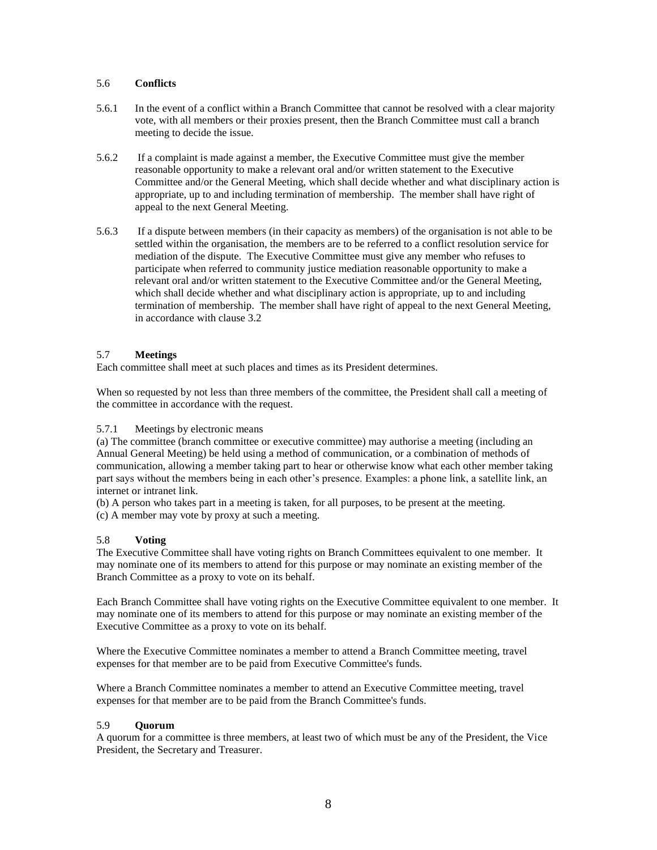#### 5.6 **Conflicts**

- 5.6.1 In the event of a conflict within a Branch Committee that cannot be resolved with a clear majority vote, with all members or their proxies present, then the Branch Committee must call a branch meeting to decide the issue.
- 5.6.2 If a complaint is made against a member, the Executive Committee must give the member reasonable opportunity to make a relevant oral and/or written statement to the Executive Committee and/or the General Meeting, which shall decide whether and what disciplinary action is appropriate, up to and including termination of membership. The member shall have right of appeal to the next General Meeting.
- 5.6.3 If a dispute between members (in their capacity as members) of the organisation is not able to be settled within the organisation, the members are to be referred to a conflict resolution service for mediation of the dispute. The Executive Committee must give any member who refuses to participate when referred to community justice mediation reasonable opportunity to make a relevant oral and/or written statement to the Executive Committee and/or the General Meeting, which shall decide whether and what disciplinary action is appropriate, up to and including termination of membership. The member shall have right of appeal to the next General Meeting, in accordance with clause 3.2

#### 5.7 **Meetings**

Each committee shall meet at such places and times as its President determines.

When so requested by not less than three members of the committee, the President shall call a meeting of the committee in accordance with the request.

#### 5.7.1 Meetings by electronic means

(a) The committee (branch committee or executive committee) may authorise a meeting (including an Annual General Meeting) be held using a method of communication, or a combination of methods of communication, allowing a member taking part to hear or otherwise know what each other member taking part says without the members being in each other's presence. Examples: a phone link, a satellite link, an internet or intranet link.

(b) A person who takes part in a meeting is taken, for all purposes, to be present at the meeting.

(c) A member may vote by proxy at such a meeting.

#### 5.8 **Voting**

The Executive Committee shall have voting rights on Branch Committees equivalent to one member. It may nominate one of its members to attend for this purpose or may nominate an existing member of the Branch Committee as a proxy to vote on its behalf.

Each Branch Committee shall have voting rights on the Executive Committee equivalent to one member. It may nominate one of its members to attend for this purpose or may nominate an existing member of the Executive Committee as a proxy to vote on its behalf.

Where the Executive Committee nominates a member to attend a Branch Committee meeting, travel expenses for that member are to be paid from Executive Committee's funds.

Where a Branch Committee nominates a member to attend an Executive Committee meeting, travel expenses for that member are to be paid from the Branch Committee's funds.

#### 5.9 **Quorum**

A quorum for a committee is three members, at least two of which must be any of the President, the Vice President, the Secretary and Treasurer.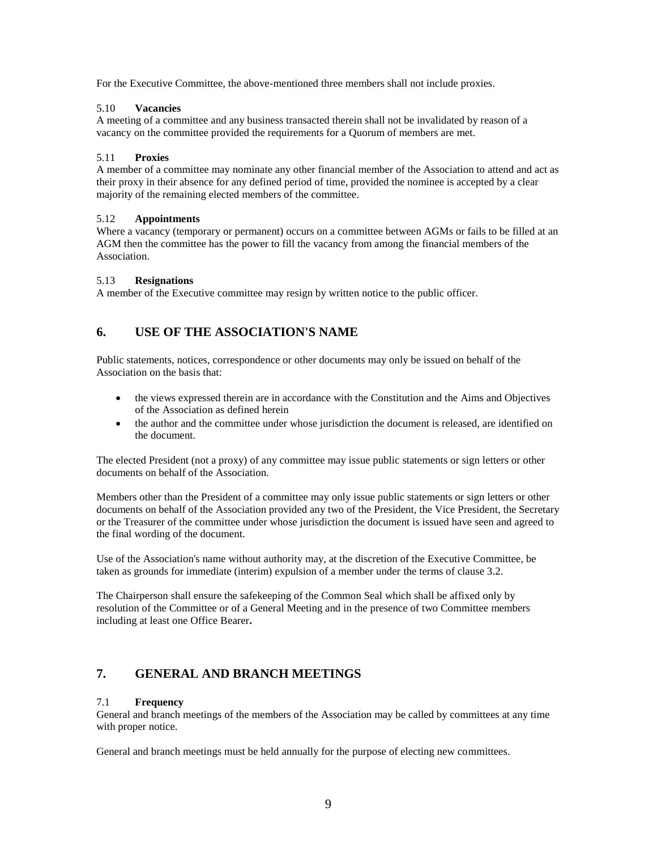For the Executive Committee, the above-mentioned three members shall not include proxies.

#### 5.10 **Vacancies**

A meeting of a committee and any business transacted therein shall not be invalidated by reason of a vacancy on the committee provided the requirements for a Quorum of members are met.

#### 5.11 **Proxies**

A member of a committee may nominate any other financial member of the Association to attend and act as their proxy in their absence for any defined period of time, provided the nominee is accepted by a clear majority of the remaining elected members of the committee.

#### 5.12 **Appointments**

Where a vacancy (temporary or permanent) occurs on a committee between AGMs or fails to be filled at an AGM then the committee has the power to fill the vacancy from among the financial members of the Association.

#### 5.13 **Resignations**

A member of the Executive committee may resign by written notice to the public officer.

## **6. USE OF THE ASSOCIATION'S NAME**

Public statements, notices, correspondence or other documents may only be issued on behalf of the Association on the basis that:

- the views expressed therein are in accordance with the Constitution and the Aims and Objectives of the Association as defined herein
- the author and the committee under whose jurisdiction the document is released, are identified on the document.

The elected President (not a proxy) of any committee may issue public statements or sign letters or other documents on behalf of the Association.

Members other than the President of a committee may only issue public statements or sign letters or other documents on behalf of the Association provided any two of the President, the Vice President, the Secretary or the Treasurer of the committee under whose jurisdiction the document is issued have seen and agreed to the final wording of the document.

Use of the Association's name without authority may, at the discretion of the Executive Committee, be taken as grounds for immediate (interim) expulsion of a member under the terms of clause 3.2.

The Chairperson shall ensure the safekeeping of the Common Seal which shall be affixed only by resolution of the Committee or of a General Meeting and in the presence of two Committee members including at least one Office Bearer**.**

## **7. GENERAL AND BRANCH MEETINGS**

#### 7.1 **Frequency**

General and branch meetings of the members of the Association may be called by committees at any time with proper notice.

General and branch meetings must be held annually for the purpose of electing new committees.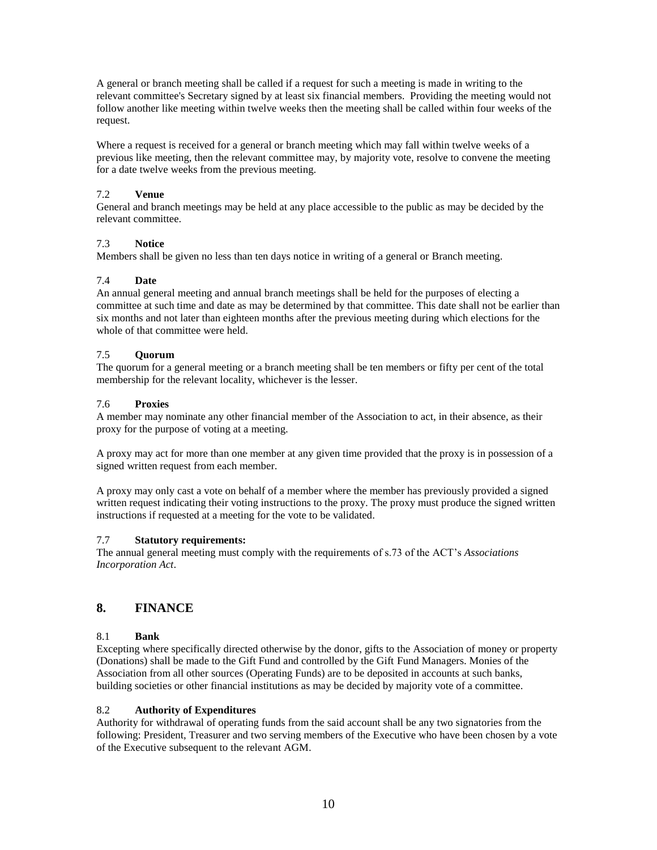A general or branch meeting shall be called if a request for such a meeting is made in writing to the relevant committee's Secretary signed by at least six financial members. Providing the meeting would not follow another like meeting within twelve weeks then the meeting shall be called within four weeks of the request.

Where a request is received for a general or branch meeting which may fall within twelve weeks of a previous like meeting, then the relevant committee may, by majority vote, resolve to convene the meeting for a date twelve weeks from the previous meeting.

#### 7.2 **Venue**

General and branch meetings may be held at any place accessible to the public as may be decided by the relevant committee.

#### 7.3 **Notice**

Members shall be given no less than ten days notice in writing of a general or Branch meeting.

#### 7.4 **Date**

An annual general meeting and annual branch meetings shall be held for the purposes of electing a committee at such time and date as may be determined by that committee. This date shall not be earlier than six months and not later than eighteen months after the previous meeting during which elections for the whole of that committee were held.

#### 7.5 **Quorum**

The quorum for a general meeting or a branch meeting shall be ten members or fifty per cent of the total membership for the relevant locality, whichever is the lesser.

#### 7.6 **Proxies**

A member may nominate any other financial member of the Association to act, in their absence, as their proxy for the purpose of voting at a meeting.

A proxy may act for more than one member at any given time provided that the proxy is in possession of a signed written request from each member.

A proxy may only cast a vote on behalf of a member where the member has previously provided a signed written request indicating their voting instructions to the proxy. The proxy must produce the signed written instructions if requested at a meeting for the vote to be validated.

#### 7.7 **Statutory requirements:**

The annual general meeting must comply with the requirements of s.73 of the ACT's *Associations Incorporation Act*.

## **8. FINANCE**

#### 8.1 **Bank**

Excepting where specifically directed otherwise by the donor, gifts to the Association of money or property (Donations) shall be made to the Gift Fund and controlled by the Gift Fund Managers. Monies of the Association from all other sources (Operating Funds) are to be deposited in accounts at such banks, building societies or other financial institutions as may be decided by majority vote of a committee.

#### 8.2 **Authority of Expenditures**

Authority for withdrawal of operating funds from the said account shall be any two signatories from the following: President, Treasurer and two serving members of the Executive who have been chosen by a vote of the Executive subsequent to the relevant AGM.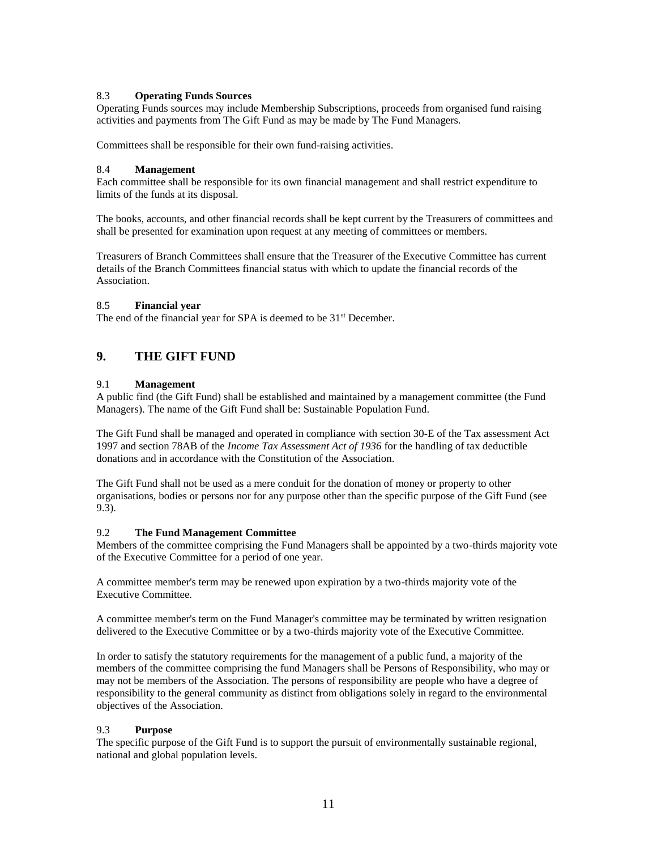#### 8.3 **Operating Funds Sources**

Operating Funds sources may include Membership Subscriptions, proceeds from organised fund raising activities and payments from The Gift Fund as may be made by The Fund Managers.

Committees shall be responsible for their own fund-raising activities.

#### 8.4 **Management**

Each committee shall be responsible for its own financial management and shall restrict expenditure to limits of the funds at its disposal.

The books, accounts, and other financial records shall be kept current by the Treasurers of committees and shall be presented for examination upon request at any meeting of committees or members.

Treasurers of Branch Committees shall ensure that the Treasurer of the Executive Committee has current details of the Branch Committees financial status with which to update the financial records of the Association.

#### 8.5 **Financial year**

The end of the financial year for SPA is deemed to be 31<sup>st</sup> December.

#### **9. THE GIFT FUND**

#### 9.1 **Management**

A public find (the Gift Fund) shall be established and maintained by a management committee (the Fund Managers). The name of the Gift Fund shall be: Sustainable Population Fund.

The Gift Fund shall be managed and operated in compliance with section 30-E of the Tax assessment Act 1997 and section 78AB of the *Income Tax Assessment Act of 1936* for the handling of tax deductible donations and in accordance with the Constitution of the Association.

The Gift Fund shall not be used as a mere conduit for the donation of money or property to other organisations, bodies or persons nor for any purpose other than the specific purpose of the Gift Fund (see 9.3).

#### 9.2 **The Fund Management Committee**

Members of the committee comprising the Fund Managers shall be appointed by a two-thirds majority vote of the Executive Committee for a period of one year.

A committee member's term may be renewed upon expiration by a two-thirds majority vote of the Executive Committee.

A committee member's term on the Fund Manager's committee may be terminated by written resignation delivered to the Executive Committee or by a two-thirds majority vote of the Executive Committee.

In order to satisfy the statutory requirements for the management of a public fund, a majority of the members of the committee comprising the fund Managers shall be Persons of Responsibility, who may or may not be members of the Association. The persons of responsibility are people who have a degree of responsibility to the general community as distinct from obligations solely in regard to the environmental objectives of the Association.

#### 9.3 **Purpose**

The specific purpose of the Gift Fund is to support the pursuit of environmentally sustainable regional, national and global population levels.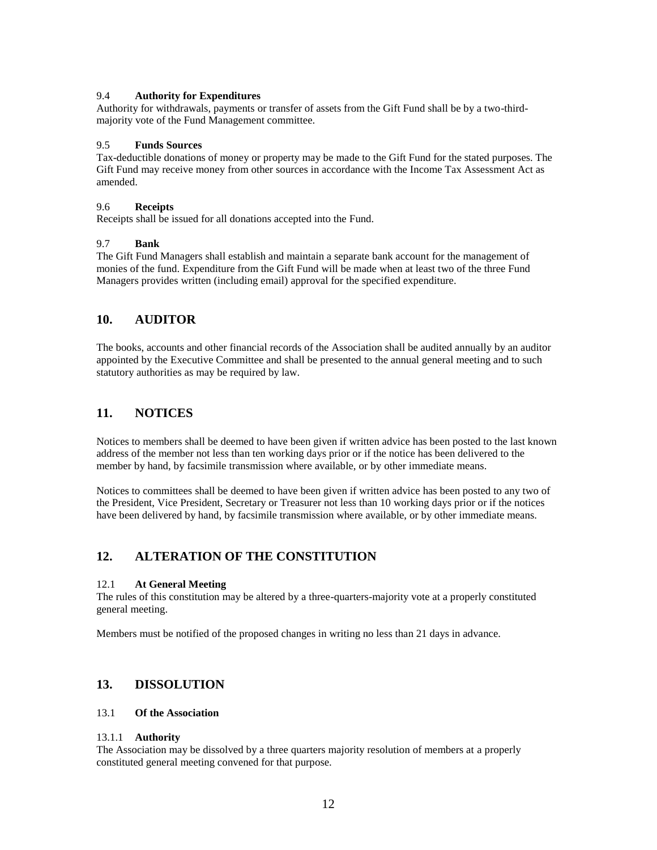#### 9.4 **Authority for Expenditures**

Authority for withdrawals, payments or transfer of assets from the Gift Fund shall be by a two-thirdmajority vote of the Fund Management committee.

#### 9.5 **Funds Sources**

Tax-deductible donations of money or property may be made to the Gift Fund for the stated purposes. The Gift Fund may receive money from other sources in accordance with the Income Tax Assessment Act as amended.

#### 9.6 **Receipts**

Receipts shall be issued for all donations accepted into the Fund.

#### 9.7 **Bank**

The Gift Fund Managers shall establish and maintain a separate bank account for the management of monies of the fund. Expenditure from the Gift Fund will be made when at least two of the three Fund Managers provides written (including email) approval for the specified expenditure.

## **10. AUDITOR**

The books, accounts and other financial records of the Association shall be audited annually by an auditor appointed by the Executive Committee and shall be presented to the annual general meeting and to such statutory authorities as may be required by law.

## **11. NOTICES**

Notices to members shall be deemed to have been given if written advice has been posted to the last known address of the member not less than ten working days prior or if the notice has been delivered to the member by hand, by facsimile transmission where available, or by other immediate means.

Notices to committees shall be deemed to have been given if written advice has been posted to any two of the President, Vice President, Secretary or Treasurer not less than 10 working days prior or if the notices have been delivered by hand, by facsimile transmission where available, or by other immediate means.

## **12. ALTERATION OF THE CONSTITUTION**

#### 12.1 **At General Meeting**

The rules of this constitution may be altered by a three-quarters-majority vote at a properly constituted general meeting.

Members must be notified of the proposed changes in writing no less than 21 days in advance.

## **13. DISSOLUTION**

#### 13.1 **Of the Association**

#### 13.1.1 **Authority**

The Association may be dissolved by a three quarters majority resolution of members at a properly constituted general meeting convened for that purpose.